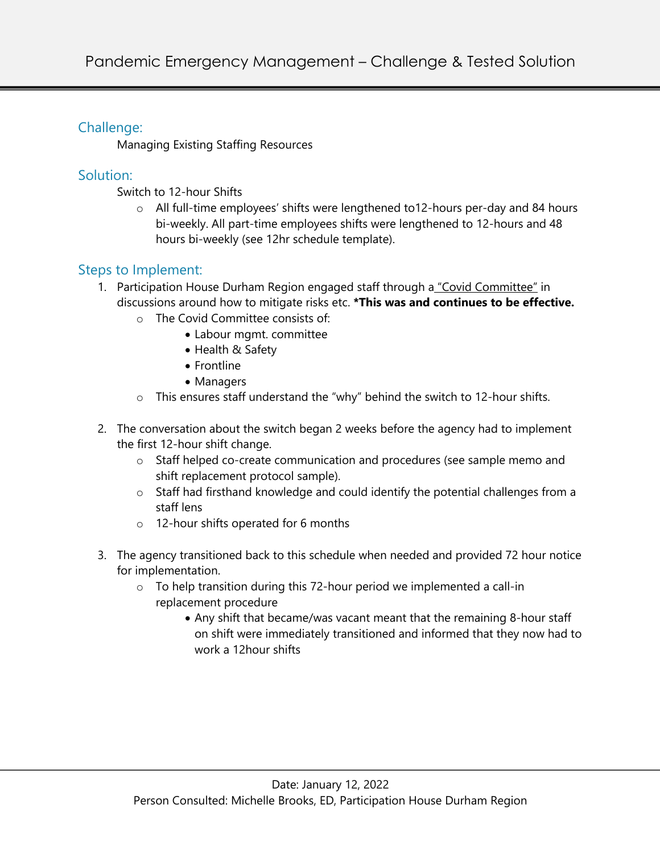## Challenge:

Managing Existing Staffing Resources

## Solution:

- Switch to 12-hour Shifts
	- o All full-time employees' shifts were lengthened to12-hours per-day and 84 hours bi-weekly. All part-time employees shifts were lengthened to 12-hours and 48 hours bi-weekly (see 12hr schedule template).

## Steps to Implement:

- 1. Participation House Durham Region engaged staff through a "Covid Committee" in discussions around how to mitigate risks etc. **\*This was and continues to be effective.**
	- o The Covid Committee consists of:
		- Labour mgmt. committee
		- Health & Safety
		- Frontline
		- Managers
	- o This ensures staff understand the "why" behind the switch to 12-hour shifts.
- 2. The conversation about the switch began 2 weeks before the agency had to implement the first 12-hour shift change.
	- o Staff helped co-create communication and procedures (see sample memo and shift replacement protocol sample).
	- o Staff had firsthand knowledge and could identify the potential challenges from a staff lens
	- o 12-hour shifts operated for 6 months
- 3. The agency transitioned back to this schedule when needed and provided 72 hour notice for implementation.
	- o To help transition during this 72-hour period we implemented a call-in replacement procedure
		- Any shift that became/was vacant meant that the remaining 8-hour staff on shift were immediately transitioned and informed that they now had to work a 12hour shifts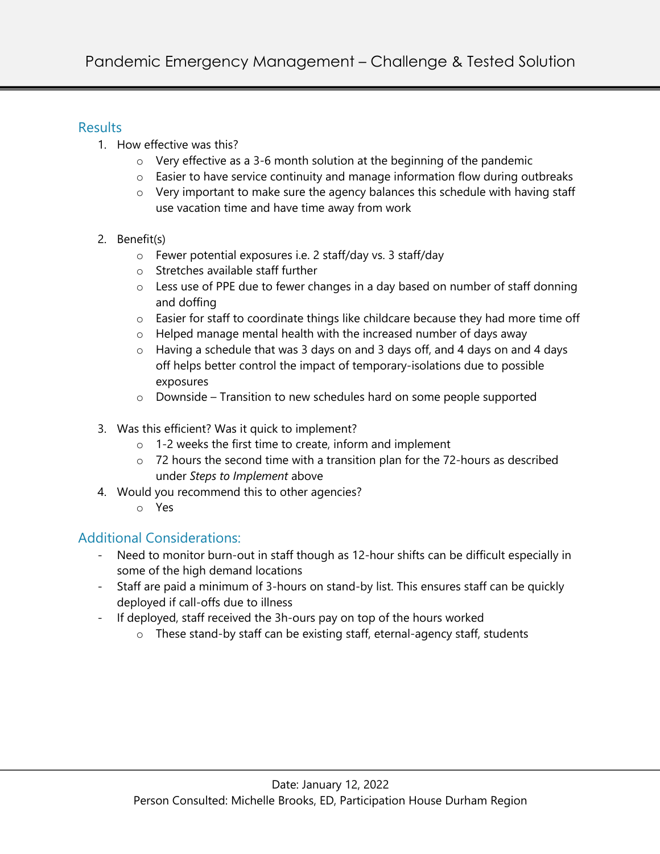### **Results**

- 1. How effective was this?
	- o Very effective as a 3-6 month solution at the beginning of the pandemic
	- o Easier to have service continuity and manage information flow during outbreaks
	- $\circ$  Very important to make sure the agency balances this schedule with having staff use vacation time and have time away from work
- 2. Benefit(s)
	- o Fewer potential exposures i.e. 2 staff/day vs. 3 staff/day
	- o Stretches available staff further
	- o Less use of PPE due to fewer changes in a day based on number of staff donning and doffing
	- o Easier for staff to coordinate things like childcare because they had more time off
	- o Helped manage mental health with the increased number of days away
	- o Having a schedule that was 3 days on and 3 days off, and 4 days on and 4 days off helps better control the impact of temporary-isolations due to possible exposures
	- o Downside Transition to new schedules hard on some people supported
- 3. Was this efficient? Was it quick to implement?
	- o 1-2 weeks the first time to create, inform and implement
	- o 72 hours the second time with a transition plan for the 72-hours as described under *Steps to Implement* above
- 4. Would you recommend this to other agencies?
	- o Yes

# Additional Considerations:

- Need to monitor burn-out in staff though as 12-hour shifts can be difficult especially in some of the high demand locations
- Staff are paid a minimum of 3-hours on stand-by list. This ensures staff can be quickly deployed if call-offs due to illness
- If deployed, staff received the 3h-ours pay on top of the hours worked
	- o These stand-by staff can be existing staff, eternal-agency staff, students